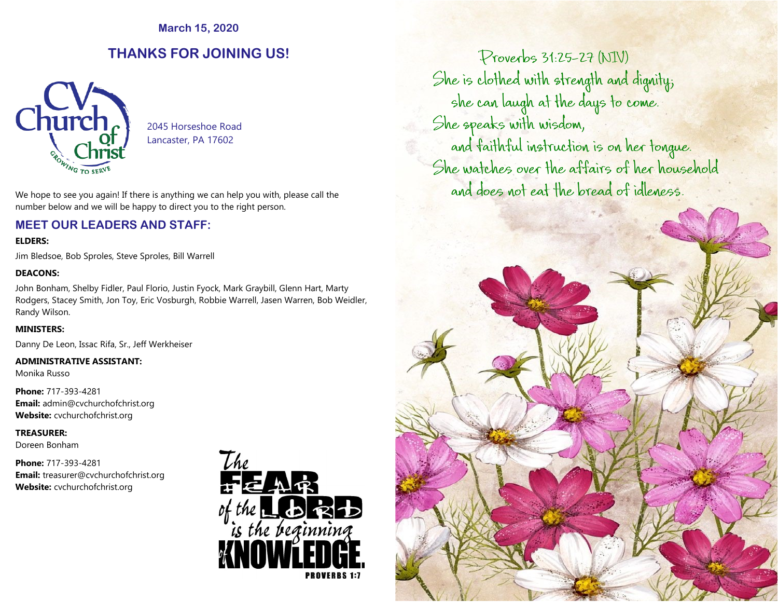**March 15, 2020**

# **THANKS FOR JOINING US!**



 2045 Horseshoe Road Lancaster, PA 17602

We hope to see you again! If there is anything we can help you with, please call the number below and we will be happy to direct you to the right person.

## **MEET OUR LEADERS AND STAFF:**

#### **ELDERS:**

Jim Bledsoe, Bob Sproles, Steve Sproles, Bill Warrell

#### **DEACONS:**

John Bonham, Shelby Fidler, Paul Florio, Justin Fyock, Mark Graybill, Glenn Hart, Marty Rodgers, Stacey Smith, Jon Toy, Eric Vosburgh, Robbie Warrell, Jasen Warren, Bob Weidler, Randy Wilson.

#### **MINISTERS:**

Danny De Leon, Issac Rifa, Sr., Jeff Werkheiser

#### **ADMINISTRATIVE ASSISTANT:**

Monika Russo

**Phone:** 717-393-4281 **Email:** admin@cvchurchofchrist.org **Website:** cvchurchofchrist.org

#### **TREASURER:**

Doreen Bonham

**Phone:** 717-393-4281 **Email:** [treasurer@cvchurchofchrist.org](mailto:treasurer@cvchurchofchrist.org) **Website:** cvchurchofchrist.org



Proverbs 31:25-27 (NIV) She is clothed with strength and dignity; she can laugh at the days to come. She speaks with wisdom,

and faithful instruction is on her tongue. She watches over the affairs of her household and does not eat the bread of idleness.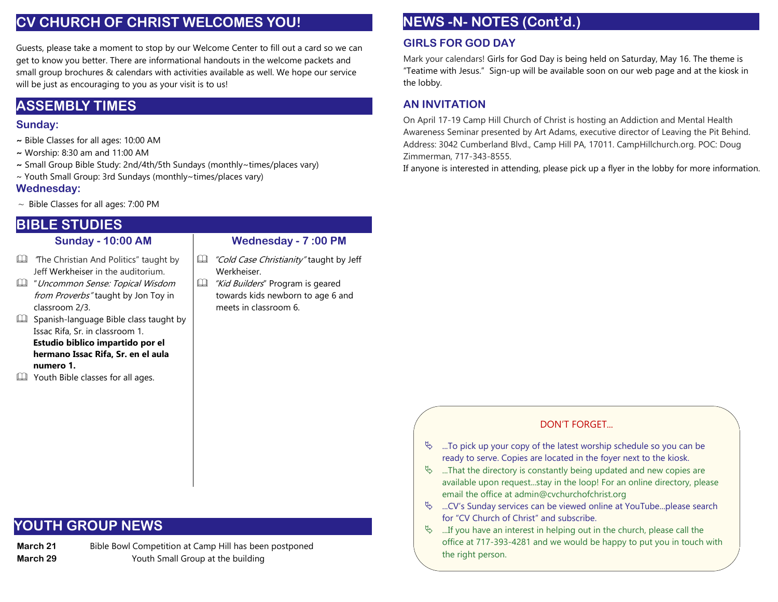# **CV CHURCH OF CHRIST WELCOMES YOU!**

Guests, please take a moment to stop by our Welcome Center to fill out a card so we can get to know you better. There are informational handouts in the welcome packets and small group brochures & calendars with activities available as well. We hope our service will be just as encouraging to you as your visit is to us!

# **ASSEMBLY TIMES**

## **Sunday:**

- **~** Bible Classes for all ages: 10:00 AM
- **~** Worship: 8:30 am and 11:00 AM
- **~** Small Group Bible Study: 2nd/4th/5th Sundays (monthly~times/places vary)
- ~ Youth Small Group: 3rd Sundays (monthly~times/places vary)

## **Wednesday:**

 $\sim$  Bible Classes for all ages: 7:00 PM

# **BIBLE STUDIES**

## **Sunday - 10:00 AM**

- **EQU** The Christian And Politics" taught by Jeff Werkheiser in the auditorium.
- **ED** "Uncommon Sense: Topical Wisdom from Proverbs" taught by Jon Toy in classroom 2/3.
- $\square$  Spanish-language Bible class taught by Issac Rifa, Sr. in classroom 1. **Estudio biblico impartido por el hermano Issac Rifa, Sr. en el aula numero 1.**
- Youth Bible classes for all ages.

## **Wednesday - 7 :00 PM**

- Cold Case Christianity" taught by Jeff Werkheiser.
- Kid Builders" Program is geared towards kids newborn to age 6 and meets in classroom 6.

# **NEWS -N- NOTES (Cont'd.)**

# **GIRLS FOR GOD DAY**

Mark your calendars! Girls for God Day is being held on Saturday, May 16. The theme is "Teatime with Jesus." Sign-up will be available soon on our web page and at the kiosk in the lobby.

# **AN INVITATION**

On April 17-19 Camp Hill Church of Christ is hosting an Addiction and Mental Health Awareness Seminar presented by Art Adams, executive director of Leaving the Pit Behind. Address: 3042 Cumberland Blvd., Camp Hill PA, 17011. CampHillchurch.org. POC: Doug Zimmerman, 717-343-8555.

If anyone is interested in attending, please pick up a flyer in the lobby for more information.

## DON'T FORGET...

- $\%$  ...To pick up your copy of the latest worship schedule so you can be ready to serve. Copies are located in the foyer next to the kiosk.
- $\%$  ...That the directory is constantly being updated and new copies are available upon request...stay in the loop! For an online directory, please email the office at admin@cvchurchofchrist.org
- $\&$  ...CV's Sunday services can be viewed online at YouTube...please search for "CV Church of Christ" and subscribe.
- $\%$  ...If you have an interest in helping out in the church, please call the office at 717-393-4281 and we would be happy to put you in touch with the right person.

# **YOUTH GROUP NEWS**

**March 21** Bible Bowl Competition at Camp Hill has been postponed **March 29 Property** Youth Small Group at the building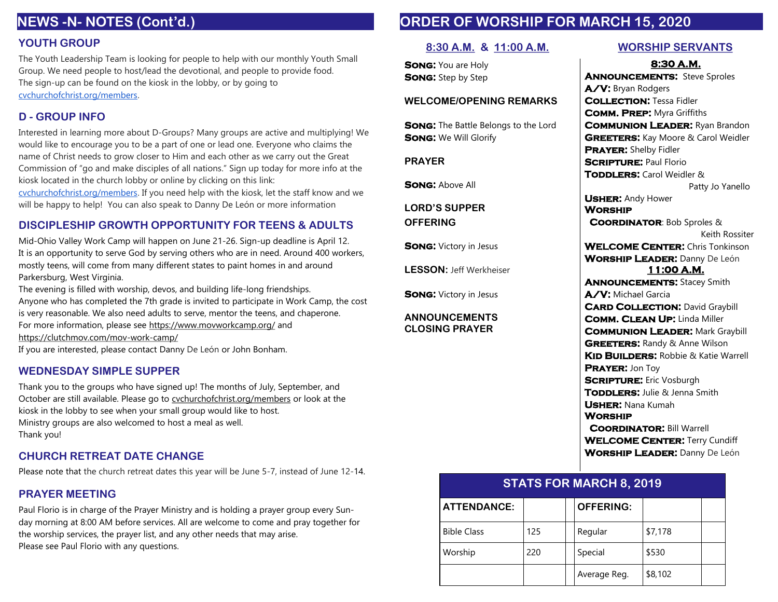# **NEWS -N- NOTES (Cont'd.)**

#### **YOUTH GROUP**

The Youth Leadership Team is looking for people to help with our monthly Youth Small Group. We need people to host/lead the devotional, and people to provide food. The sign-up can be found on the kiosk in the lobby, or by going to [cvchurchofchrist.org/members.](http://cvchurchofchrist.org/members)

#### **D - GROUP INFO**

Interested in learning more about D-Groups? Many groups are active and multiplying! We would like to encourage you to be a part of one or lead one. Everyone who claims the name of Christ needs to grow closer to Him and each other as we carry out the Great Commission of "go and make disciples of all nations." Sign up today for more info at the kiosk located in the church lobby or online by clicking on this link:

[cvchurchofchrist.org/members.](http://cvchurchofchrist.org/members) If you need help with the kiosk, let the staff know and we will be happy to help! You can also speak to Danny De León or more information

### **DISCIPLESHIP GROWTH OPPORTUNITY FOR TEENS & ADULTS**

Mid-Ohio Valley Work Camp will happen on June 21-26. Sign-up deadline is April 12. It is an opportunity to serve God by serving others who are in need. Around 400 workers, mostly teens, will come from many different states to paint homes in and around Parkersburg, West Virginia.

The evening is filled with worship, devos, and building life-long friendships. Anyone who has completed the 7th grade is invited to participate in Work Camp, the cost is very reasonable. We also need adults to serve, mentor the teens, and chaperone. For more information, please see <https://www.movworkcamp.org/> and <https://clutchmov.com/mov-work-camp/>

If you are interested, please contact Danny De León or John Bonham.

#### **WEDNESDAY SIMPLE SUPPER**

Thank you to the groups who have signed up! The months of July, September, and October are still available. Please go to [cvchurchofchrist.org/members](http://cvchurchofchrist.org/members) or look at the kiosk in the lobby to see when your small group would like to host. Ministry groups are also welcomed to host a meal as well. Thank you!

### **CHURCH RETREAT DATE CHANGE**

Please note that the church retreat dates this year will be June 5-7, instead of June 12-14.

## **PRAYER MEETING**

Paul Florio is in charge of the Prayer Ministry and is holding a prayer group every Sunday morning at 8:00 AM before services. All are welcome to come and pray together for the worship services, the prayer list, and any other needs that may arise. Please see Paul Florio with any questions.

# **ORDER OF WORSHIP FOR MARCH 15, 2020**

#### **8:30 A.M. & 11:00 A.M. WORSHIP SERVANTS**

**SONG: You are Holy SONG:** Step by Step

#### **WELCOME/OPENING REMARKS**

**SONG:** The Battle Belongs to the Lord **SONG:** We Will Glorify

**PRAYER**

**SONG: Above All** 

**LORD'S SUPPER**

**OFFERING**

**SONG: Victory in Jesus** 

**LESSON:** Jeff Werkheiser

**SONG: Victory in Jesus** 

#### **ANNOUNCEMENTS CLOSING PRAYER**

8:30 A.M. **ANNOUNCEMENTS:** Steve Sproles A/V: Bryan Rodgers **COLLECTION: Tessa Fidler** COMM. PREP: Myra Griffiths **COMMUNION LEADER: Ryan Brandon GREETERS:** Kay Moore & Carol Weidler PRAYER: Shelby Fidler **SCRIPTURE: Paul Florio TODDLERS:** Carol Weidler & Patty Jo Yanello **USHER: Andy Hower WORSHIP** COORDINATOR: Bob Sproles & Keith Rossiter **WELCOME CENTER:** Chris Tonkinson WORSHIP LEADER: Danny De León 11:00 A.M. **ANNOUNCEMENTS: Stacey Smith** A/V: Michael Garcia **CARD COLLECTION: David Graybill** COMM. CLEAN UP: Linda Miller **COMMUNION LEADER: Mark Graybill GREETERS: Randy & Anne Wilson** KID BUILDERS: Robbie & Katie Warrell PRAYER: Jon Toy **SCRIPTURE:** Eric Vosburgh TODDLERS: Julie & Jenna Smith Usher: Nana Kumah **WORSHIP COORDINATOR: Bill Warrell WELCOME CENTER: Terry Cundiff** WORSHIP LEADER: Danny De León

| <b>STATS FOR MARCH 8, 2019</b> |     |  |                  |         |  |
|--------------------------------|-----|--|------------------|---------|--|
| <b>ATTENDANCE:</b>             |     |  | <b>OFFERING:</b> |         |  |
| <b>Bible Class</b>             | 125 |  | Regular          | \$7,178 |  |
| Worship                        | 220 |  | Special          | \$530   |  |
|                                |     |  | Average Reg.     | \$8,102 |  |